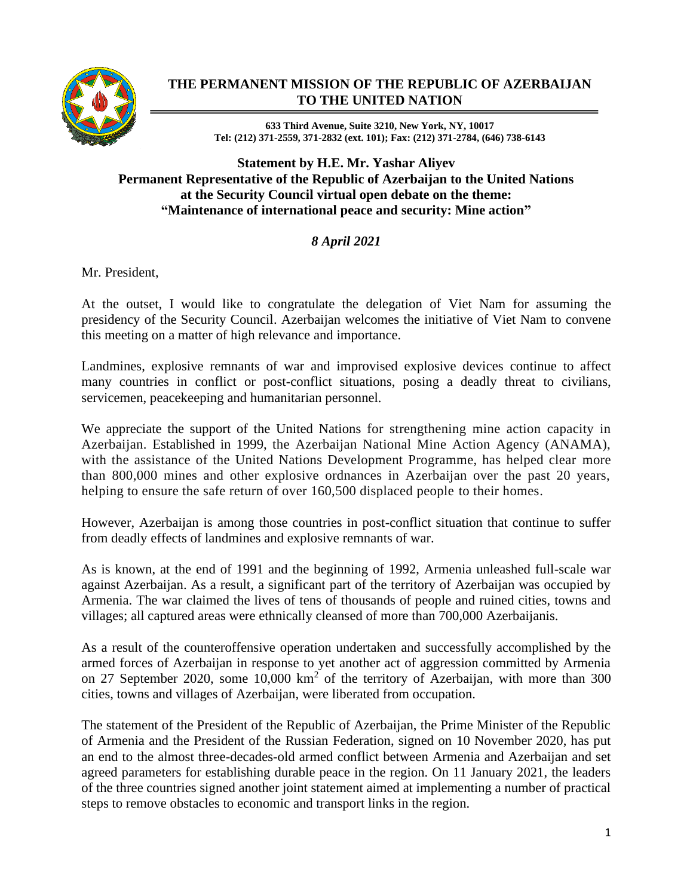

## **THE PERMANENT MISSION OF THE REPUBLIC OF AZERBAIJAN TO THE UNITED NATION**

**633 Third Avenue, Suite 3210, New York, NY, 10017 Tel: (212) 371-2559, 371-2832 (ext. 101); Fax: (212) 371-2784, (646) 738-6143**

## **Statement by H.E. Mr. Yashar Aliyev Permanent Representative of the Republic of Azerbaijan to the United Nations at the Security Council virtual open debate on the theme: "Maintenance of international peace and security: Mine action"**

## *8 April 2021*

Mr. President,

At the outset, I would like to congratulate the delegation of Viet Nam for assuming the presidency of the Security Council. Azerbaijan welcomes the initiative of Viet Nam to convene this meeting on a matter of high relevance and importance.

Landmines, explosive remnants of war and improvised explosive devices continue to affect many countries in conflict or post-conflict situations, posing a deadly threat to civilians, servicemen, peacekeeping and humanitarian personnel.

We appreciate the support of the United Nations for strengthening mine action capacity in Azerbaijan. Established in 1999, the Azerbaijan National Mine Action Agency (ANAMA), with the assistance of the United Nations Development Programme, has helped clear more than 800,000 mines and other explosive ordnances in Azerbaijan over the past 20 years, helping to ensure the safe return of over 160,500 displaced people to their homes.

However, Azerbaijan is among those countries in post-conflict situation that continue to suffer from deadly effects of landmines and explosive remnants of war.

As is known, at the end of 1991 and the beginning of 1992, Armenia unleashed full-scale war against Azerbaijan. As a result, a significant part of the territory of Azerbaijan was occupied by Armenia. The war claimed the lives of tens of thousands of people and ruined cities, towns and villages; all captured areas were ethnically cleansed of more than 700,000 Azerbaijanis.

As a result of the counteroffensive operation undertaken and successfully accomplished by the armed forces of Azerbaijan in response to yet another act of aggression committed by Armenia on 27 September 2020, some  $10,000 \text{ km}^2$  of the territory of Azerbaijan, with more than 300 cities, towns and villages of Azerbaijan, were liberated from occupation.

The statement of the President of the Republic of Azerbaijan, the Prime Minister of the Republic of Armenia and the President of the Russian Federation, signed on 10 November 2020, has put an end to the almost three-decades-old armed conflict between Armenia and Azerbaijan and set agreed parameters for establishing durable peace in the region. On 11 January 2021, the leaders of the three countries signed another joint statement aimed at implementing a number of practical steps to remove obstacles to economic and transport links in the region.